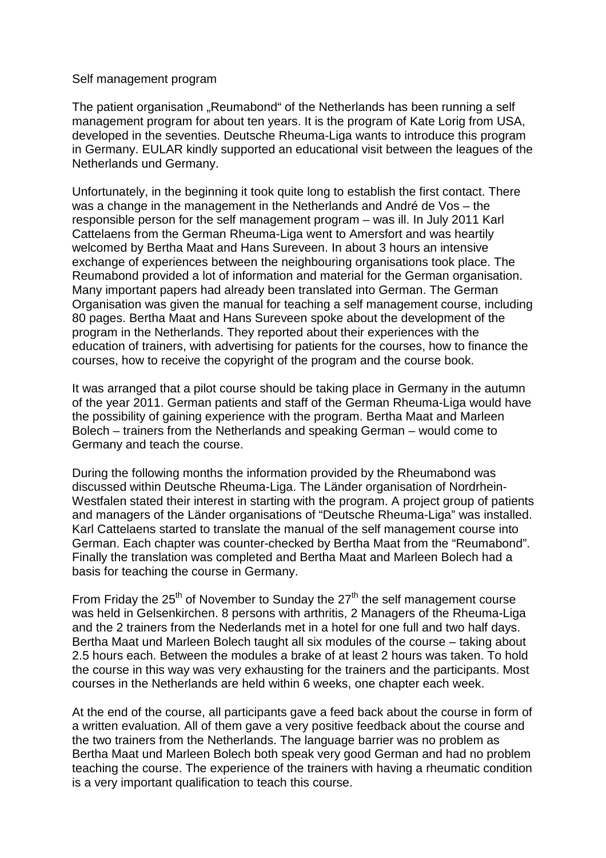## Self management program

The patient organisation "Reumabond" of the Netherlands has been running a self management program for about ten years. It is the program of Kate Lorig from USA, developed in the seventies. Deutsche Rheuma-Liga wants to introduce this program in Germany. EULAR kindly supported an educational visit between the leagues of the Netherlands und Germany.

Unfortunately, in the beginning it took quite long to establish the first contact. There was a change in the management in the Netherlands and André de Vos – the responsible person for the self management program – was ill. In July 2011 Karl Cattelaens from the German Rheuma-Liga went to Amersfort and was heartily welcomed by Bertha Maat and Hans Sureveen. In about 3 hours an intensive exchange of experiences between the neighbouring organisations took place. The Reumabond provided a lot of information and material for the German organisation. Many important papers had already been translated into German. The German Organisation was given the manual for teaching a self management course, including 80 pages. Bertha Maat and Hans Sureveen spoke about the development of the program in the Netherlands. They reported about their experiences with the education of trainers, with advertising for patients for the courses, how to finance the courses, how to receive the copyright of the program and the course book.

It was arranged that a pilot course should be taking place in Germany in the autumn of the year 2011. German patients and staff of the German Rheuma-Liga would have the possibility of gaining experience with the program. Bertha Maat and Marleen Bolech – trainers from the Netherlands and speaking German – would come to Germany and teach the course.

During the following months the information provided by the Rheumabond was discussed within Deutsche Rheuma-Liga. The Länder organisation of Nordrhein-Westfalen stated their interest in starting with the program. A project group of patients and managers of the Länder organisations of "Deutsche Rheuma-Liga" was installed. Karl Cattelaens started to translate the manual of the self management course into German. Each chapter was counter-checked by Bertha Maat from the "Reumabond". Finally the translation was completed and Bertha Maat and Marleen Bolech had a basis for teaching the course in Germany.

From Friday the  $25<sup>th</sup>$  of November to Sunday the  $27<sup>th</sup>$  the self management course was held in Gelsenkirchen. 8 persons with arthritis, 2 Managers of the Rheuma-Liga and the 2 trainers from the Nederlands met in a hotel for one full and two half days. Bertha Maat und Marleen Bolech taught all six modules of the course – taking about 2.5 hours each. Between the modules a brake of at least 2 hours was taken. To hold the course in this way was very exhausting for the trainers and the participants. Most courses in the Netherlands are held within 6 weeks, one chapter each week.

At the end of the course, all participants gave a feed back about the course in form of a written evaluation. All of them gave a very positive feedback about the course and the two trainers from the Netherlands. The language barrier was no problem as Bertha Maat und Marleen Bolech both speak very good German and had no problem teaching the course. The experience of the trainers with having a rheumatic condition is a very important qualification to teach this course.